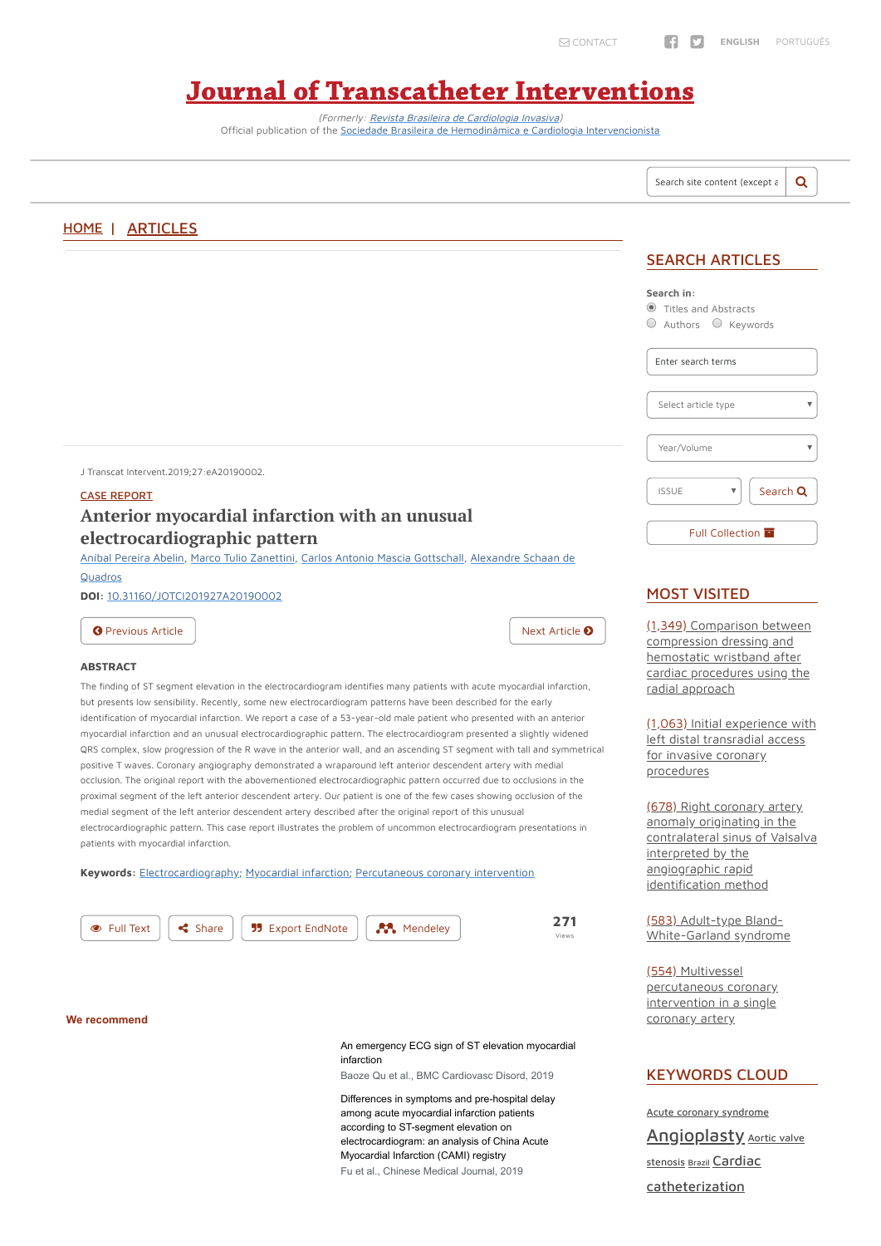(Formerly: Revista Brasileira de [Cardiologia](http://www.rbci.org.br/en/) Invasiva) Official publication of the Sociedade Brasileira de Hemodinâmica e Cardiologia [Intervencionista](http://sbhci.org.br/)

# Journal of [Transcatheter](https://jotci.org/) Interventions

Q Search site content (except a [HOME](https://jotci.org/) | [ARTICLES](https://jotci.org/articles/) SEARCH ARTICLES **Search in:** Titles and Abstracts  $\circ$  Authors  $\circ$  Keywords Enter search terms Select article type Year/Volume J Transcat Intervent.2019;27:eA20190002. ISSUE  $\overline{\mathbf{v}}$ Search **Q** CASE [REPORT](https://jotci.org/article-section/case-report/) **Anterior myocardial infarction with an unusual Full [Collection](https://jotci.org/available-issues/) electrocardiographic pattern** Aníbal [Pereira](https://jotci.org/?searchin=articles-author&s=An%C3%ADbal+Pereira+Abelin) Abelin, Marco Tulio [Zanettini](https://jotci.org/?searchin=articles-author&s=Marco+Tulio+Zanettini), Carlos Antonio Mascia [Gottschall](https://jotci.org/?searchin=articles-author&s=Carlos+Antonio+Mascia+Gottschall)[,](https://jotci.org/?searchin=articles-author&s=Alexandre+Schaan+de+Quadros) Alexandre Schaan de **Quadros** MOST VISITED **DOI:** [10.31160/JOTCI201927A20190002](http://dx.doi.org/10.31160/JOTCI201927A20190002) (1,349) Comparison between **O** [Previous](https://jotci.org/article/chronic-total-occlusion-conqueringthe-last-frontier-of-percutaneous-coronary-intervention/) [Article](https://jotci.org/article/correlation-between-race-and-percutaneous-coronary-intervention/) Next Article **O** [compression](https://jotci.org/article/comparison-between-compression-dressing-and-hemostatic-wristband-after-cardiac-procedures-using-the-radial-approach/) dressing and hemostatic wristband after **ABSTRACT** cardiac procedures using the The finding of ST segment elevation in the electrocardiogram identifies many patients with acute myocardial infarction, radial approach but presents low sensibility. Recently, some new electrocardiogram patterns have been described for the early identification of myocardial infarction. We report a case of a 53-year-old male patient who presented with an anterior (1,063) Initial experience with myocardial infarction and an unusual electrocardiographic pattern. The electrocardiogram presented a slightly widened left distal transradial access QRS complex, slow progression of the R wave in the anterior wall, and an ascending ST segment with tall and symmetrical for invasive coronary positive T waves. Coronary angiography demonstrated a wraparound left anterior descendent artery with medial [procedures](https://jotci.org/article/initial-experience-with-left-distal-transradial-access-for-invasive-coronary-procedures/) occlusion. The original report with the abovementioned electrocardiographic pattern occurred due to occlusions in the proximal segment of the left anterior descendent artery. Our patient is one of the few cases showing occlusion of the (678) Right coronary artery medial segment of the left anterior descendent artery described after the original report of this unusual anomaly originating in the

> interpreted by the angiographic rapid identification method

electrocardiographic pattern. This case report illustrates the problem of uncommon electrocardiogram presentations in patients with myocardial infarction.

**Keywords:** [Electrocardiography](https://jotci.org/article-keyword/electrocardiography/); [Myocardial](https://jotci.org/article-keyword/myocardial-infarction/) infarction; [Percutaneous](https://jotci.org/article-keyword/percutaneous-coronary-intervention/) coronary intervention



Views

#### **We recommend**

#### [An emergency ECG sign of ST elevation myocardial](https://bmccardiovascdisord.biomedcentral.com/articles/10.1186/s12872-019-1109-0?utm_campaign=BMCS_TrendMD_2019_BMCCVD&utm_source=TrendMD&utm_medium=cpc) infarction

Baoze Qu et al., BMC Cardiovasc Disord, 2019

[Differences in symptoms and pre-hospital delay](https://journals.lww.com/cmj/Fulltext/2019/03050/Differences_in_symptoms_and_pre_hospital_delay.3.aspx?utm_source=TrendMD&utm_medium=cpc&utm_campaign=Chinese_Medical_Journal_TrendMD_1) among acute myocardial infarction patients according to ST-segment elevation on electrocardiogram: an analysis of China Acute Myocardial Infarction (CAMI) registry Fu et al., Chinese Medical Journal, 2019

contralateral sinus of Valsalva

(583) Adult-type Bland-[White-Garland](https://jotci.org/article/adult-type-bland-white-garland-syndrome/) syndrome

#### (554) Multivessel [percutaneous](https://jotci.org/article/multivessel-percutaneous-coronary-intervention-in-a-single-coronary-artery/) coronary intervention in a single coronary artery

#### KEYWORDS CLOUD

Acute coronary [syndrome](https://jotci.org/article-keyword/acute-coronary-syndrome/) **[Angioplasty](https://jotci.org/article-keyword/angioplasty/)** Aortic valve stenosis [Brazil](https://jotci.org/article-keyword/brazil/) Cardiac [catheterization](https://jotci.org/article-keyword/cardiac-catheterization/)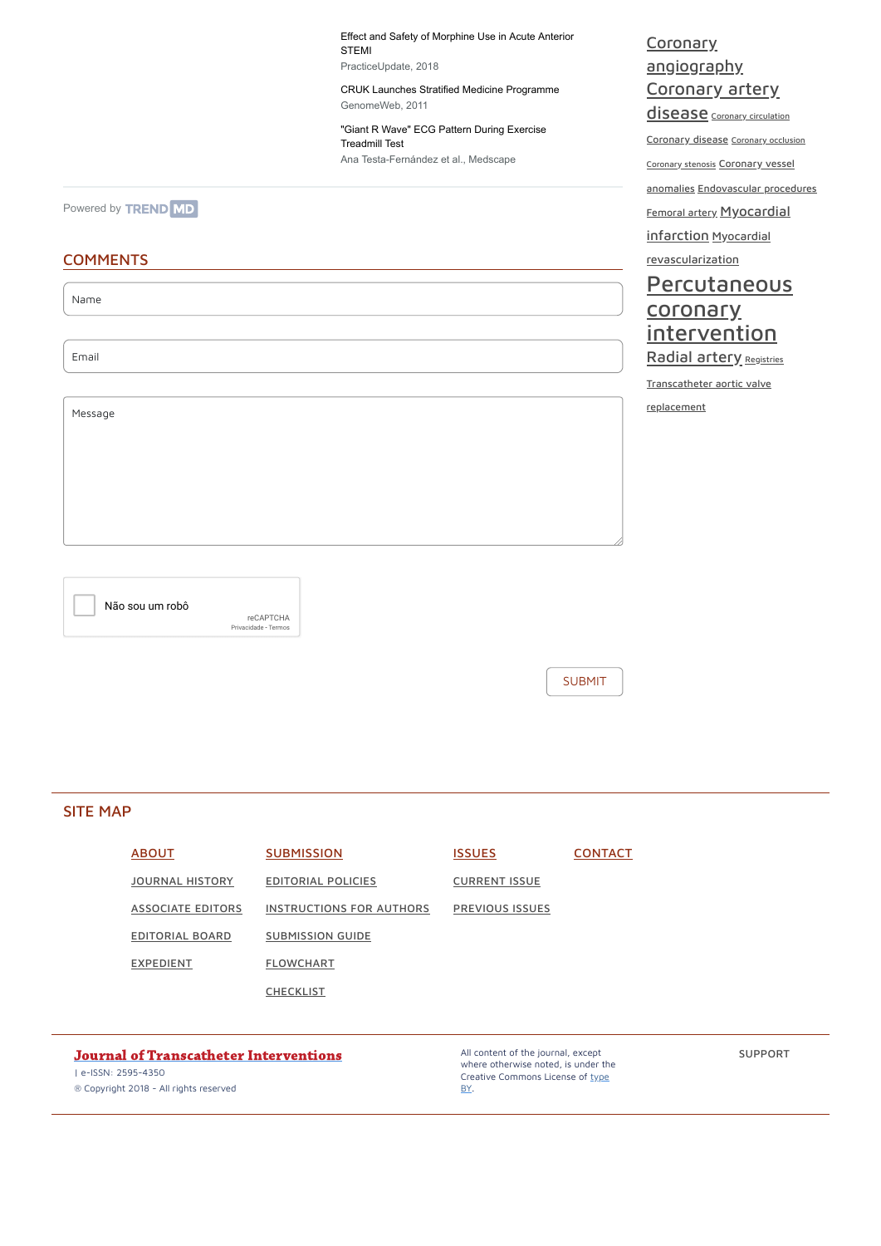Name

Email

Message

SUBMIT

Não sou um robô

reCAPTCHA [Privacidade](https://www.google.com/intl/pt-BR/policies/privacy/) - [Termos](https://www.google.com/intl/pt-BR/policies/terms/) [Effect and Safety of Morphine Use in Acute Anterior](http://www.practiceupdate.com/content/effect-and-safety-of-morphine-use-in-acute-anterior-stemi/64419/6/0/1?elsca1=TrendMD_CPA) STEMI PracticeUpdate, 2018

[CRUK Launches Stratified Medicine Programme](https://www.genomeweb.com/mdx/cruk-launches-stratified-medicine-programme?utm_source=TrendMD&utm_medium=TrendMD&utm_campaign=1&trendmd-shared=1) GenomeWeb, 2011

["Giant R Wave" ECG Pattern During Exercise](https://www.medscape.com/viewarticle/749078?src=trendmd_pilot) Treadmill Test Ana Testa-Fernández et al., Medscape

[Powered by](https://www.trendmd.com/how-it-works-readers) **TREND** MD

## **COMMENTS**

Coronary [angiography](https://jotci.org/article-keyword/coronary-angiography/) [Coronary](https://jotci.org/article-keyword/coronary-artery-disease/) artery

disease Coronary [circulation](https://jotci.org/article-keyword/coronary-circulation/)

[Coronary](https://jotci.org/article-keyword/coronary-disease/) disease [Coronary](https://jotci.org/article-keyword/coronary-occlusion/) occlusion

[Coronary](https://jotci.org/article-keyword/coronary-stenosis/) stenosis Coronary vessel

anomalies [Endovascular](https://jotci.org/article-keyword/coronary-vessel-anomalies/) procedures

[Femoral](https://jotci.org/article-keyword/femoral-artery/) artery [Myocardial](https://jotci.org/article-keyword/myocardial-infarction/)

infarction Myocardial

[revascularization](https://jotci.org/article-keyword/myocardial-revascularization/)

## **[Percutaneous](https://jotci.org/article-keyword/percutaneous-coronary-intervention/)** coronary **intervention** [Radial](https://jotci.org/article-keyword/radial-artery/) artery [Registries](https://jotci.org/article-keyword/registries/)

[Transcatheter](https://jotci.org/article-keyword/transcatheter-aortic-valve-replacement/) aortic valve

replacement

### SITE MAP

| <b>ABOUT</b>             | <b>SUBMISSION</b>               | <b>ISSUES</b>          | <b>CONTACT</b> |
|--------------------------|---------------------------------|------------------------|----------------|
| <u>JOURNAL HISTORY</u>   | <b>EDITORIAL POLICIES</b>       | <u>CURRENT ISSUE</u>   |                |
| <u>ASSOCIATE EDITORS</u> | <b>INSTRUCTIONS FOR AUTHORS</b> | <b>PREVIOUS ISSUES</b> |                |
| EDITORIAL BOARD          | <b>SUBMISSION GUIDE</b>         |                        |                |



**[CHECKLIST](https://jotci.org/checklist/)** 

#### Journal of [Transcatheter](https://jotci.org/) Interventions

| e-ISSN: 2595-4350

® Copyright 2018 - All rights reserved

All content of the journal, except where otherwise noted, is under the Creative [Commons License](https://creativecommons.org/licenses/by/4.0/) of type BY.